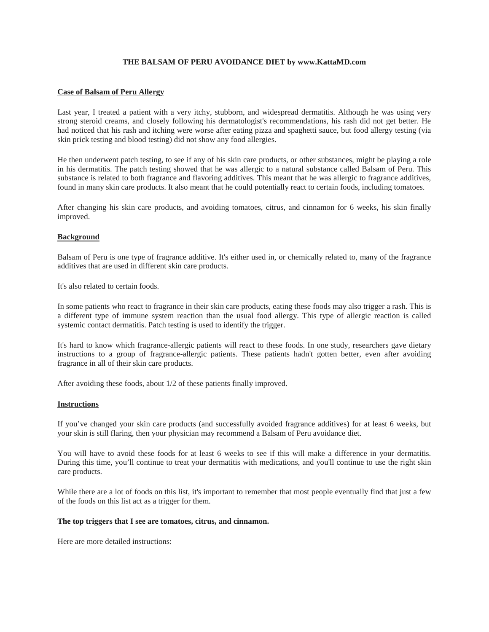# **THE BALSAM OF PERU AVOIDANCE DIET by www.KattaMD.com**

# **Case of Balsam of Peru Allergy**

Last year, I treated a patient with a very itchy, stubborn, and widespread dermatitis. Although he was using very strong steroid creams, and closely following his dermatologist's recommendations, his rash did not get better. He had noticed that his rash and itching were worse after eating pizza and spaghetti sauce, but food allergy testing (via skin prick testing and blood testing) did not show any food allergies.

He then underwent patch testing, to see if any of his skin care products, or other substances, might be playing a role in his dermatitis. The patch testing showed that he was allergic to a natural substance called Balsam of Peru. This substance is related to both fragrance and flavoring additives. This meant that he was allergic to fragrance additives, found in many skin care products. It also meant that he could potentially react to certain foods, including tomatoes.

After changing his skin care products, and avoiding tomatoes, citrus, and cinnamon for 6 weeks, his skin finally improved.

## **Background**

Balsam of Peru is one type of fragrance additive. It's either used in, or chemically related to, many of the fragrance additives that are used in different skin care products.

It's also related to certain foods.

In some patients who react to fragrance in their skin care products, eating these foods may also trigger a rash. This is a different type of immune system reaction than the usual food allergy. This type of allergic reaction is called systemic contact dermatitis. Patch testing is used to identify the trigger.

It's hard to know which fragrance-allergic patients will react to these foods. In one study, researchers gave dietary instructions to a group of fragrance-allergic patients. These patients hadn't gotten better, even after avoiding fragrance in all of their skin care products.

After avoiding these foods, about 1/2 of these patients finally improved.

### **Instructions**

If you've changed your skin care products (and successfully avoided fragrance additives) for at least 6 weeks, but your skin is still flaring, then your physician may recommend a Balsam of Peru avoidance diet.

You will have to avoid these foods for at least 6 weeks to see if this will make a difference in your dermatitis. During this time, you'll continue to treat your dermatitis with medications, and you'll continue to use the right skin care products.

While there are a lot of foods on this list, it's important to remember that most people eventually find that just a few of the foods on this list act as a trigger for them.

#### **The top triggers that I see are tomatoes, citrus, and cinnamon.**

Here are more detailed instructions: